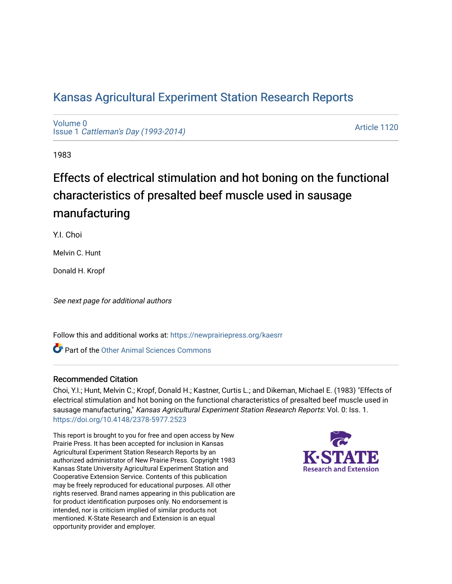## [Kansas Agricultural Experiment Station Research Reports](https://newprairiepress.org/kaesrr)

[Volume 0](https://newprairiepress.org/kaesrr/vol0) Issue 1 [Cattleman's Day \(1993-2014\)](https://newprairiepress.org/kaesrr/vol0/iss1) 

[Article 1120](https://newprairiepress.org/kaesrr/vol0/iss1/1120) 

1983

# Effects of electrical stimulation and hot boning on the functional characteristics of presalted beef muscle used in sausage manufacturing

Y.I. Choi

Melvin C. Hunt

Donald H. Kropf

See next page for additional authors

Follow this and additional works at: [https://newprairiepress.org/kaesrr](https://newprairiepress.org/kaesrr?utm_source=newprairiepress.org%2Fkaesrr%2Fvol0%2Fiss1%2F1120&utm_medium=PDF&utm_campaign=PDFCoverPages) 

Part of the [Other Animal Sciences Commons](http://network.bepress.com/hgg/discipline/82?utm_source=newprairiepress.org%2Fkaesrr%2Fvol0%2Fiss1%2F1120&utm_medium=PDF&utm_campaign=PDFCoverPages)

#### Recommended Citation

Choi, Y.I.; Hunt, Melvin C.; Kropf, Donald H.; Kastner, Curtis L.; and Dikeman, Michael E. (1983) "Effects of electrical stimulation and hot boning on the functional characteristics of presalted beef muscle used in sausage manufacturing," Kansas Agricultural Experiment Station Research Reports: Vol. 0: Iss. 1. <https://doi.org/10.4148/2378-5977.2523>

This report is brought to you for free and open access by New Prairie Press. It has been accepted for inclusion in Kansas Agricultural Experiment Station Research Reports by an authorized administrator of New Prairie Press. Copyright 1983 Kansas State University Agricultural Experiment Station and Cooperative Extension Service. Contents of this publication may be freely reproduced for educational purposes. All other rights reserved. Brand names appearing in this publication are for product identification purposes only. No endorsement is intended, nor is criticism implied of similar products not mentioned. K-State Research and Extension is an equal opportunity provider and employer.

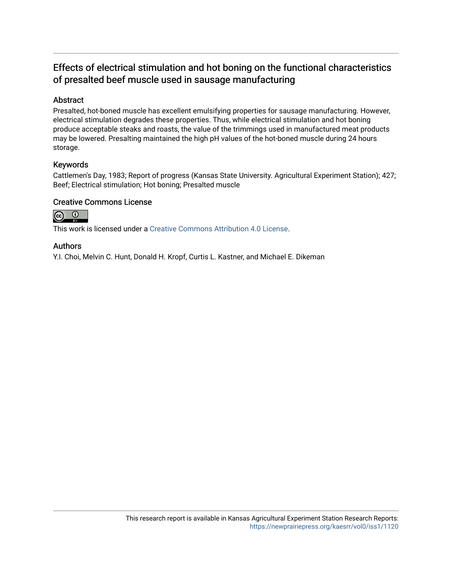### Effects of electrical stimulation and hot boning on the functional characteristics of presalted beef muscle used in sausage manufacturing

#### Abstract

Presalted, hot-boned muscle has excellent emulsifying properties for sausage manufacturing. However, electrical stimulation degrades these properties. Thus, while electrical stimulation and hot boning produce acceptable steaks and roasts, the value of the trimmings used in manufactured meat products may be lowered. Presalting maintained the high pH values of the hot-boned muscle during 24 hours storage.

#### Keywords

Cattlemen's Day, 1983; Report of progress (Kansas State University. Agricultural Experiment Station); 427; Beef; Electrical stimulation; Hot boning; Presalted muscle

#### Creative Commons License



This work is licensed under a [Creative Commons Attribution 4.0 License](https://creativecommons.org/licenses/by/4.0/).

#### Authors

Y.I. Choi, Melvin C. Hunt, Donald H. Kropf, Curtis L. Kastner, and Michael E. Dikeman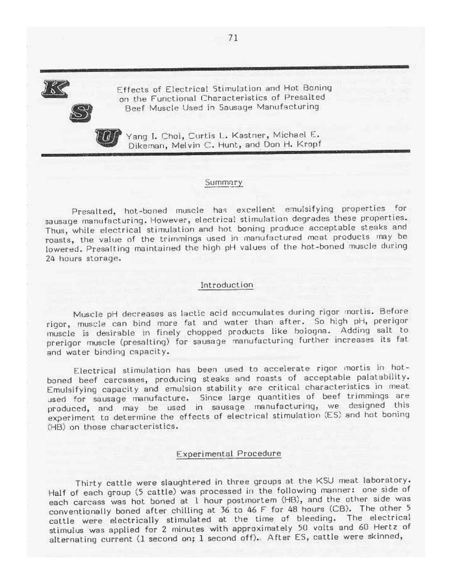Effects of Electrical Stimulation and Hot Boning on the Functional Characteristics of Presalted Beef Muscle Used in Sausage Manufacturing



Yang I. Choi, Curtis L. Kastner, Michael E. Dikeman, Melvin C. Hunt, and Don H. Kropf

#### Summary

Presalted, hot-boned muscle has excellent emulsifying properties for sausage manufacturing. However, electrical stimulation degrades these properties. Thus, while electrical stimulation and hot boning produce acceptable steaks and roasts, the value of the trimmings used in manufactured meat products may be lowered. Presalting maintained the high pH values of the hot-boned muscle during 24 hours storage.

#### Introduction

Muscle pH decreases as lactic acid accumulates during rigor mortis. Before rigor, muscle can bind more fat and water than after. So high pH, prerigor muscle is desirable in finely chopped products like bologna. Adding salt to prerigor muscle (presalting) for sausage manufacturing further increases its fat and water binding capacity.

Electrical stimulation has been used to accelerate rigor mortis in hotboned beef carcasses, producing steaks and roasts of acceptable palatability. Emulsifying capacity and emulsion stability are critical characteristics in meat used for sausage manufacture. Since large quantities of beef trimmings are produced, and may be used in sausage manufacturing, we designed this experiment to determine the effects of electrical stimulation (ES) and hot boning (HB) on those characteristics.

#### Experimental Procedure

Thirty cattle were slaughtered in three groups at the KSU meat laboratory. Half of each group (5 cattle) was processed in the following manner: one side of each carcass was hot boned at 1 hour postmortem (HB), and the other side was conventionally boned after chilling at 36 to 46 F for 48 hours (CB). The other 5 cattle were electrically stimulated at the time of bleeding. The electrical stimulus was applied for 2 minutes with approximately 50 volts and 60 Hertz of alternating current (1 second on; 1 second off). After ES, cattle were skinned,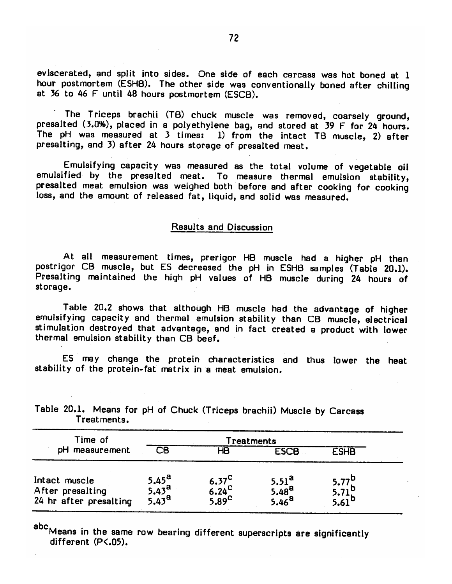eviscerated, and split into sides. One side of each carcass was hot boned at 1 hour postmortem (ESHB). The other side was conventionally boned after chilling at 36 to 46 F until 48 hours postmortem (ESCB).

The Triceps brachii (TB) chuck muscle was removed, coarsely ground, presalted (3.0%), placed in a polyethylene bag, and stored at 39 F for 24 hours. The pH was measured at 3 times: 1) from the intact TB muscle, 2) after presalting, and 3) after 24 hours storage of presalted meat.

Emulsifying capacity was measured as the total volume of vegetable oil emulsified by the presalted meat. To measure thermal emulsion stability, presalted meat emulsion was weighed both before and after cooking for cooking loss, and the amount of released fat, liquid, and solid was measured.

#### Results and Discussion

At all measurement times, prerigor HB muscle had a higher pH than postrigor CB muscle, but ES decreased the pH in ESHB samples (Table 20.1). Presalting maintained the high pH values of HB muscle during 24 hours of storage.

Table 20.2 shows that although HB muscle had the advantage of higher emulsifying capacity and thermal emulsion stability than CB muscle, electrical stimulation destroyed that advantage, and in fact created a product with lower thermal emulsion stability than CB beef.

ES may change the protein characteristics and thus lower the heat stability of the protein-fat matrix in a meat emulsion.

| Time of<br>pH measurement                                   | Treatments                                                  |                                                             |                                                             |                                     |  |
|-------------------------------------------------------------|-------------------------------------------------------------|-------------------------------------------------------------|-------------------------------------------------------------|-------------------------------------|--|
|                                                             | CB                                                          | HΒ                                                          | <b>ESCB</b>                                                 | <b>ESHB</b>                         |  |
| Intact muscle<br>After presalting<br>24 hr after presalting | 5.45 <sup>a</sup><br>5.43 <sup>a</sup><br>5.43 <sup>a</sup> | 6.37 <sup>C</sup><br>6.24 <sup>C</sup><br>5.89 <sup>C</sup> | 5.51 <sup>a</sup><br>5.48 <sup>a</sup><br>5.46 <sup>a</sup> | 5.77b<br>5.71b<br>5.61 <sup>b</sup> |  |

Table 20.1. Means for pH of Chuck (Triceps brachii) Muscle by Carcass Treatments.

abc<sub>Means</sub> in the same row bearing different superscripts are significantly different (P<.05).